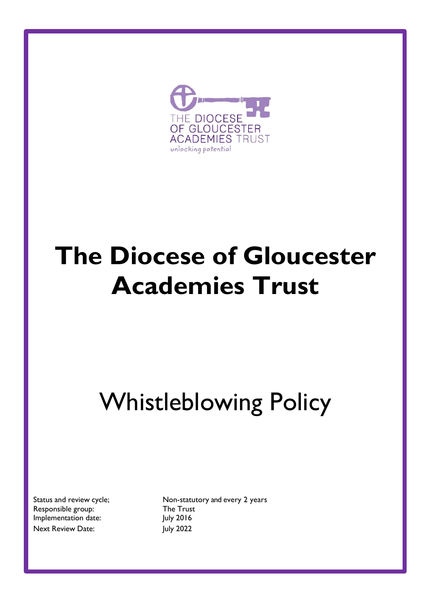

# **The Diocese of Gloucester Academies Trust**

# Whistleblowing Policy

Responsible group: The Trust Implementation date:  $|$ uly 2016 Next Review Date: July 2022

Status and review cycle; Non-statutory and every 2 years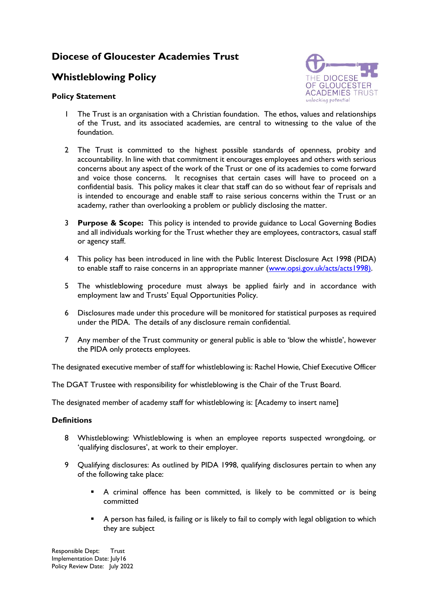# **Diocese of Gloucester Academies Trust**

## **Whistleblowing Policy**

### **Policy Statement**



- 1 The Trust is an organisation with a Christian foundation. The ethos, values and relationships of the Trust, and its associated academies, are central to witnessing to the value of the foundation.
- 2 The Trust is committed to the highest possible standards of openness, probity and accountability. In line with that commitment it encourages employees and others with serious concerns about any aspect of the work of the Trust or one of its academies to come forward and voice those concerns. It recognises that certain cases will have to proceed on a confidential basis. This policy makes it clear that staff can do so without fear of reprisals and is intended to encourage and enable staff to raise serious concerns within the Trust or an academy, rather than overlooking a problem or publicly disclosing the matter.
- 3 **Purpose & Scope:** This policy is intended to provide guidance to Local Governing Bodies and all individuals working for the Trust whether they are employees, contractors, casual staff or agency staff.
- 4 This policy has been introduced in line with the Public Interest Disclosure Act 1998 (PIDA) to enable staff to raise concerns in an appropriate manner [\(www.opsi.gov.uk/acts/acts1998\)](http://www.opsi.gov.uk/acts/acts1998).
- 5 The whistleblowing procedure must always be applied fairly and in accordance with employment law and Trusts' Equal Opportunities Policy.
- 6 Disclosures made under this procedure will be monitored for statistical purposes as required under the PIDA. The details of any disclosure remain confidential.
- 7 Any member of the Trust community or general public is able to 'blow the whistle', however the PIDA only protects employees.

The designated executive member of staff for whistleblowing is: Rachel Howie, Chief Executive Officer

The DGAT Trustee with responsibility for whistleblowing is the Chair of the Trust Board.

The designated member of academy staff for whistleblowing is: [Academy to insert name]

## **Definitions**

- 8 Whistleblowing: Whistleblowing is when an employee reports suspected wrongdoing, or 'qualifying disclosures', at work to their employer.
- 9 Qualifying disclosures: As outlined by PIDA 1998, qualifying disclosures pertain to when any of the following take place:
	- A criminal offence has been committed, is likely to be committed or is being committed
	- A person has failed, is failing or is likely to fail to comply with legal obligation to which they are subject

Responsible Dept: Trust Implementation Date: July16 Policy Review Date: July 2022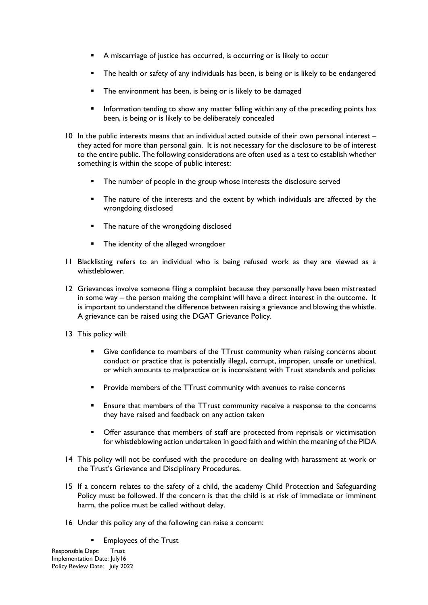- A miscarriage of justice has occurred, is occurring or is likely to occur
- The health or safety of any individuals has been, is being or is likely to be endangered
- The environment has been, is being or is likely to be damaged
- Information tending to show any matter falling within any of the preceding points has been, is being or is likely to be deliberately concealed
- 10 In the public interests means that an individual acted outside of their own personal interest they acted for more than personal gain. It is not necessary for the disclosure to be of interest to the entire public. The following considerations are often used as a test to establish whether something is within the scope of public interest:
	- The number of people in the group whose interests the disclosure served
	- The nature of the interests and the extent by which individuals are affected by the wrongdoing disclosed
	- **The nature of the wrongdoing disclosed**
	- The identity of the alleged wrongdoer
- 11 Blacklisting refers to an individual who is being refused work as they are viewed as a whistleblower.
- 12 Grievances involve someone filing a complaint because they personally have been mistreated in some way – the person making the complaint will have a direct interest in the outcome. It is important to understand the difference between raising a grievance and blowing the whistle. A grievance can be raised using the DGAT Grievance Policy.
- 13 This policy will:
	- Give confidence to members of the TTrust community when raising concerns about conduct or practice that is potentially illegal, corrupt, improper, unsafe or unethical, or which amounts to malpractice or is inconsistent with Trust standards and policies
	- **Provide members of the TTrust community with avenues to raise concerns**
	- Ensure that members of the TTrust community receive a response to the concerns they have raised and feedback on any action taken
	- Offer assurance that members of staff are protected from reprisals or victimisation for whistleblowing action undertaken in good faith and within the meaning of the PIDA
- 14 This policy will not be confused with the procedure on dealing with harassment at work or the Trust's Grievance and Disciplinary Procedures.
- 15 If a concern relates to the safety of a child, the academy Child Protection and Safeguarding Policy must be followed. If the concern is that the child is at risk of immediate or imminent harm, the police must be called without delay.
- 16 Under this policy any of the following can raise a concern:
	- Employees of the Trust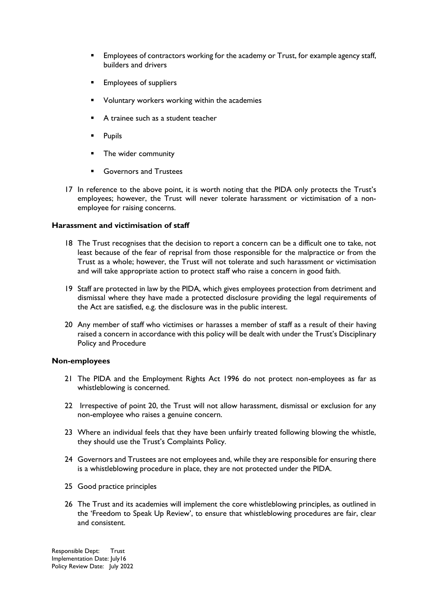- Employees of contractors working for the academy or Trust, for example agency staff, builders and drivers
- Employees of suppliers
- Voluntary workers working within the academies
- A trainee such as a student teacher
- Pupils
- The wider community
- Governors and Trustees
- 17 In reference to the above point, it is worth noting that the PIDA only protects the Trust's employees; however, the Trust will never tolerate harassment or victimisation of a nonemployee for raising concerns.

#### **Harassment and victimisation of staff**

- 18 The Trust recognises that the decision to report a concern can be a difficult one to take, not least because of the fear of reprisal from those responsible for the malpractice or from the Trust as a whole; however, the Trust will not tolerate and such harassment or victimisation and will take appropriate action to protect staff who raise a concern in good faith.
- 19 Staff are protected in law by the PIDA, which gives employees protection from detriment and dismissal where they have made a protected disclosure providing the legal requirements of the Act are satisfied, e.g. the disclosure was in the public interest.
- 20 Any member of staff who victimises or harasses a member of staff as a result of their having raised a concern in accordance with this policy will be dealt with under the Trust's Disciplinary Policy and Procedure

#### **Non-employees**

- 21 The PIDA and the Employment Rights Act 1996 do not protect non-employees as far as whistleblowing is concerned.
- 22 Irrespective of point 20, the Trust will not allow harassment, dismissal or exclusion for any non-employee who raises a genuine concern.
- 23 Where an individual feels that they have been unfairly treated following blowing the whistle, they should use the Trust's Complaints Policy.
- 24 Governors and Trustees are not employees and, while they are responsible for ensuring there is a whistleblowing procedure in place, they are not protected under the PIDA.
- 25 Good practice principles
- 26 The Trust and its academies will implement the core whistleblowing principles, as outlined in the 'Freedom to Speak Up Review', to ensure that whistleblowing procedures are fair, clear and consistent.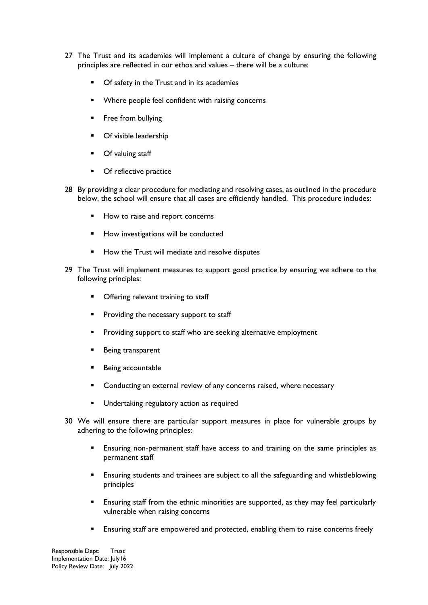- 27 The Trust and its academies will implement a culture of change by ensuring the following principles are reflected in our ethos and values – there will be a culture:
	- **•** Of safety in the Trust and in its academies
	- **Where people feel confident with raising concerns**
	- **Filter** Free from bullying
	- Of visible leadership
	- **Of valuing staff**
	- Of reflective practice
- 28 By providing a clear procedure for mediating and resolving cases, as outlined in the procedure below, the school will ensure that all cases are efficiently handled. This procedure includes:
	- How to raise and report concerns
	- **How investigations will be conducted**
	- How the Trust will mediate and resolve disputes
- 29 The Trust will implement measures to support good practice by ensuring we adhere to the following principles:
	- Offering relevant training to staff
	- Providing the necessary support to staff
	- Providing support to staff who are seeking alternative employment
	- Being transparent
	- Being accountable
	- Conducting an external review of any concerns raised, where necessary
	- Undertaking regulatory action as required
- 30 We will ensure there are particular support measures in place for vulnerable groups by adhering to the following principles:
	- Ensuring non-permanent staff have access to and training on the same principles as permanent staff
	- Ensuring students and trainees are subject to all the safeguarding and whistleblowing principles
	- Ensuring staff from the ethnic minorities are supported, as they may feel particularly vulnerable when raising concerns
	- Ensuring staff are empowered and protected, enabling them to raise concerns freely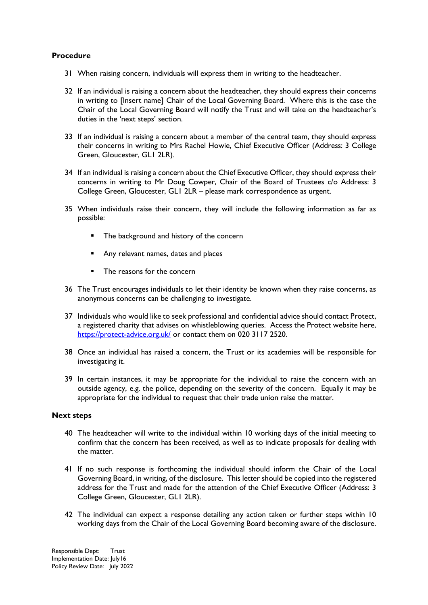### **Procedure**

- 31 When raising concern, individuals will express them in writing to the headteacher.
- 32 If an individual is raising a concern about the headteacher, they should express their concerns in writing to [Insert name] Chair of the Local Governing Board. Where this is the case the Chair of the Local Governing Board will notify the Trust and will take on the headteacher's duties in the 'next steps' section.
- 33 If an individual is raising a concern about a member of the central team, they should express their concerns in writing to Mrs Rachel Howie, Chief Executive Officer (Address: 3 College Green, Gloucester, GL1 2LR).
- 34 If an individual is raising a concern about the Chief Executive Officer, they should express their concerns in writing to Mr Doug Cowper, Chair of the Board of Trustees c/o Address: 3 College Green, Gloucester, GL1 2LR – please mark correspondence as urgent.
- 35 When individuals raise their concern, they will include the following information as far as possible:
	- **The background and history of the concerney**
	- Any relevant names, dates and places
	- The reasons for the concern
- 36 The Trust encourages individuals to let their identity be known when they raise concerns, as anonymous concerns can be challenging to investigate.
- 37 Individuals who would like to seek professional and confidential advice should contact Protect, a registered charity that advises on whistleblowing queries. Access the Protect website here, <https://protect-advice.org.uk/> or contact them on 020 3117 2520.
- 38 Once an individual has raised a concern, the Trust or its academies will be responsible for investigating it.
- 39 In certain instances, it may be appropriate for the individual to raise the concern with an outside agency, e.g. the police, depending on the severity of the concern. Equally it may be appropriate for the individual to request that their trade union raise the matter.

#### **Next steps**

- 40 The headteacher will write to the individual within 10 working days of the initial meeting to confirm that the concern has been received, as well as to indicate proposals for dealing with the matter.
- 41 If no such response is forthcoming the individual should inform the Chair of the Local Governing Board, in writing, of the disclosure. This letter should be copied into the registered address for the Trust and made for the attention of the Chief Executive Officer (Address: 3 College Green, Gloucester, GL1 2LR).
- 42 The individual can expect a response detailing any action taken or further steps within 10 working days from the Chair of the Local Governing Board becoming aware of the disclosure.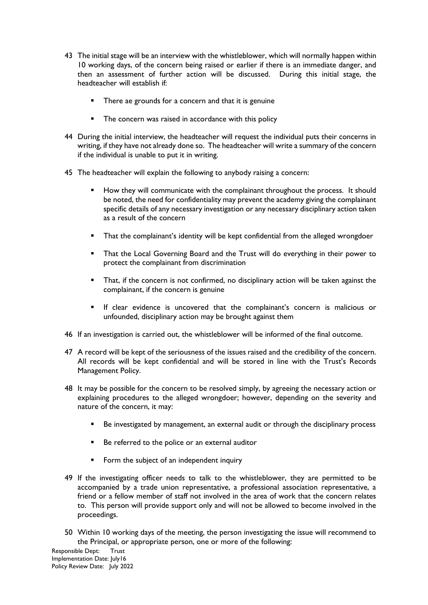- 43 The initial stage will be an interview with the whistleblower, which will normally happen within 10 working days, of the concern being raised or earlier if there is an immediate danger, and then an assessment of further action will be discussed. During this initial stage, the headteacher will establish if:
	- **There ae grounds for a concern and that it is genuine**
	- The concern was raised in accordance with this policy
- 44 During the initial interview, the headteacher will request the individual puts their concerns in writing, if they have not already done so. The headteacher will write a summary of the concern if the individual is unable to put it in writing.
- 45 The headteacher will explain the following to anybody raising a concern:
	- How they will communicate with the complainant throughout the process. It should be noted, the need for confidentiality may prevent the academy giving the complainant specific details of any necessary investigation or any necessary disciplinary action taken as a result of the concern
	- That the complainant's identity will be kept confidential from the alleged wrongdoer
	- That the Local Governing Board and the Trust will do everything in their power to protect the complainant from discrimination
	- That, if the concern is not confirmed, no disciplinary action will be taken against the complainant, if the concern is genuine
	- If clear evidence is uncovered that the complainant's concern is malicious or unfounded, disciplinary action may be brought against them
- 46 If an investigation is carried out, the whistleblower will be informed of the final outcome.
- 47 A record will be kept of the seriousness of the issues raised and the credibility of the concern. All records will be kept confidential and will be stored in line with the Trust's Records Management Policy.
- 48 It may be possible for the concern to be resolved simply, by agreeing the necessary action or explaining procedures to the alleged wrongdoer; however, depending on the severity and nature of the concern, it may:
	- Be investigated by management, an external audit or through the disciplinary process
	- Be referred to the police or an external auditor
	- Form the subject of an independent inquiry
- 49 If the investigating officer needs to talk to the whistleblower, they are permitted to be accompanied by a trade union representative, a professional association representative, a friend or a fellow member of staff not involved in the area of work that the concern relates to. This person will provide support only and will not be allowed to become involved in the proceedings.
- 50 Within 10 working days of the meeting, the person investigating the issue will recommend to the Principal, or appropriate person, one or more of the following: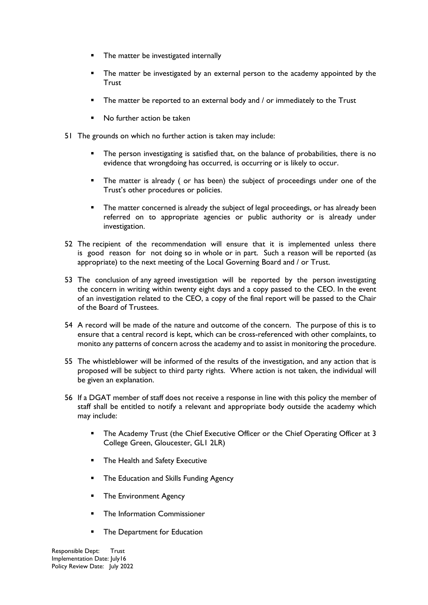- The matter be investigated internally
- The matter be investigated by an external person to the academy appointed by the **Trust**
- The matter be reported to an external body and / or immediately to the Trust
- No further action be taken
- 51 The grounds on which no further action is taken may include:
	- The person investigating is satisfied that, on the balance of probabilities, there is no evidence that wrongdoing has occurred, is occurring or is likely to occur.
	- **The matter is already ( or has been) the subject of proceedings under one of the** Trust's other procedures or policies.
	- **The matter concerned is already the subject of legal proceedings, or has already been** referred on to appropriate agencies or public authority or is already under investigation.
- 52 The recipient of the recommendation will ensure that it is implemented unless there is good reason for not doing so in whole or in part. Such a reason will be reported (as appropriate) to the next meeting of the Local Governing Board and / or Trust.
- 53 The conclusion of any agreed investigation will be reported by the person investigating the concern in writing within twenty eight days and a copy passed to the CEO. In the event of an investigation related to the CEO, a copy of the final report will be passed to the Chair of the Board of Trustees.
- 54 A record will be made of the nature and outcome of the concern. The purpose of this is to ensure that a central record is kept, which can be cross-referenced with other complaints, to monito any patterns of concern across the academy and to assist in monitoring the procedure.
- 55 The whistleblower will be informed of the results of the investigation, and any action that is proposed will be subject to third party rights. Where action is not taken, the individual will be given an explanation.
- 56 If a DGAT member of staff does not receive a response in line with this policy the member of staff shall be entitled to notify a relevant and appropriate body outside the academy which may include:
	- The Academy Trust (the Chief Executive Officer or the Chief Operating Officer at 3 College Green, Gloucester, GL1 2LR)
	- The Health and Safety Executive
	- The Education and Skills Funding Agency
	- The Environment Agency
	- The Information Commissioner
	- **The Department for Education**

Responsible Dept: Trust Implementation Date: July16 Policy Review Date: July 2022